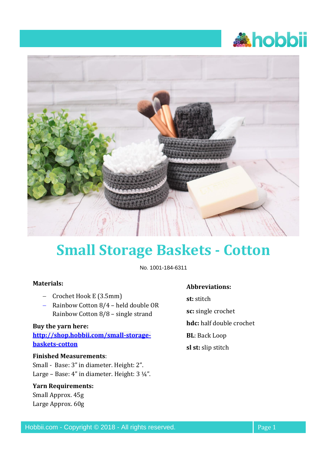



# **Small Storage Baskets - Cotton**

No. 1001-184-6311

### **Materials:**

- − Crochet Hook E (3.5mm)
- − Rainbow Cotton 8/4 held double OR Rainbow Cotton 8/8 – single strand

#### **Buy the yarn here:**

**[http://shop.hobbii.com/small-storage](http://shop.hobbii.com/small-storage-baskets-cotton)[baskets-cotton](http://shop.hobbii.com/small-storage-baskets-cotton)**

### **Finished Measurements**:

Small - Base: 3" in diameter. Height: 2". Large – Base: 4" in diameter. Height: 3 ¼".

### **Yarn Requirements:**

Small Approx. 45g Large Approx. 60g

#### **Abbreviations:**

**st:** stitch **sc:** single crochet **hdc:** half double crochet **BL**: Back Loop

**sl st:** slip stitch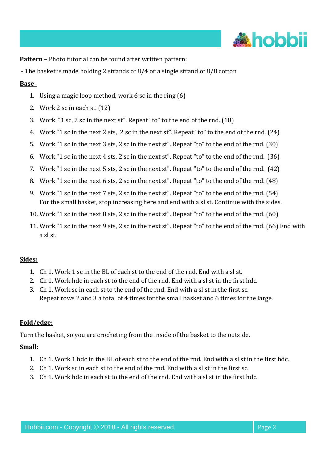

**Pattern** – Photo tutorial can be found after written pattern:

- The basket is made holding 2 strands of 8/4 or a single strand of 8/8 cotton

#### **Base\_**

- 1. Using a magic loop method, work 6 sc in the ring (6)
- 2. Work 2 sc in each st. (12)
- 3. Work "1 sc, 2 sc in the next st". Repeat "to" to the end of the rnd. (18)
- 4. Work "1 sc in the next 2 sts, 2 sc in the next st". Repeat "to" to the end of the rnd. (24)
- 5. Work "1 sc in the next 3 sts, 2 sc in the next st". Repeat "to" to the end of the rnd. (30)
- 6. Work "1 sc in the next 4 sts, 2 sc in the next st". Repeat "to" to the end of the rnd. (36)
- 7. Work "1 sc in the next 5 sts, 2 sc in the next st". Repeat "to" to the end of the rnd. (42)
- 8. Work "1 sc in the next 6 sts, 2 sc in the next st". Repeat "to" to the end of the rnd. (48)
- 9. Work "1 sc in the next 7 sts, 2 sc in the next st". Repeat "to" to the end of the rnd. (54) For the small basket, stop increasing here and end with a sl st. Continue with the sides.
- 10. Work "1 sc in the next 8 sts, 2 sc in the next st". Repeat "to" to the end of the rnd. (60)
- 11. Work "1 sc in the next 9 sts, 2 sc in the next st". Repeat "to" to the end of the rnd. (66) End with a sl st.

### **Sides:**

- 1. Ch 1. Work 1 sc in the BL of each st to the end of the rnd. End with a sl st.
- 2. Ch 1. Work hdc in each st to the end of the rnd. End with a sl st in the first hdc.
- 3. Ch 1. Work sc in each st to the end of the rnd. End with a sl st in the first sc. Repeat rows 2 and 3 a total of 4 times for the small basket and 6 times for the large.

### **Fold/edge:**

Turn the basket, so you are crocheting from the inside of the basket to the outside.

### **Small:**

- 1. Ch 1. Work 1 hdc in the BL of each st to the end of the rnd. End with a sl st in the first hdc.
- 2. Ch 1. Work sc in each st to the end of the rnd. End with a sl st in the first sc.
- 3. Ch 1. Work hdc in each st to the end of the rnd. End with a sl st in the first hdc.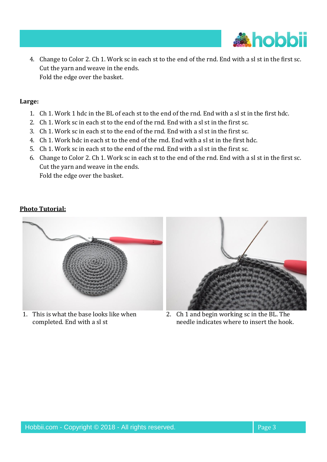

4. Change to Color 2. Ch 1. Work sc in each st to the end of the rnd. End with a sl st in the first sc. Cut the yarn and weave in the ends. Fold the edge over the basket.

#### **Large:**

- 1. Ch 1. Work 1 hdc in the BL of each st to the end of the rnd. End with a sl st in the first hdc.
- 2. Ch 1. Work sc in each st to the end of the rnd. End with a sl st in the first sc.
- 3. Ch 1. Work sc in each st to the end of the rnd. End with a sl st in the first sc.
- 4. Ch 1. Work hdc in each st to the end of the rnd. End with a sl st in the first hdc.
- 5. Ch 1. Work sc in each st to the end of the rnd. End with a sl st in the first sc.
- 6. Change to Color 2. Ch 1. Work sc in each st to the end of the rnd. End with a sl st in the first sc. Cut the yarn and weave in the ends. Fold the edge over the basket.

## **Photo Tutorial:**



1. This is what the base looks like when completed. End with a sl st



2. Ch 1 and begin working sc in the BL. The needle indicates where to insert the hook.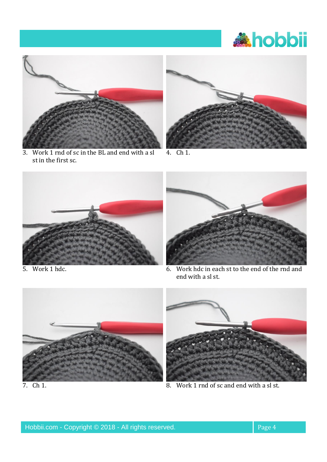# **Ahobbii**



3. Work 1 rnd of sc in the BL and end with a sl st in the first sc.



4. Ch 1.





5. Work 1 hdc. 6. Work hdc in each st to the end of the rnd and end with a sl st.





7. Ch 1.  $\overline{8}$ . Work 1 rnd of sc and end with a sl st.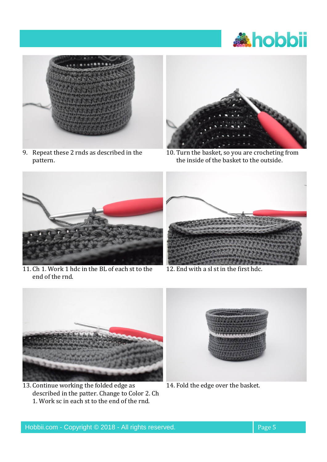



9. Repeat these 2 rnds as described in the pattern.



10. Turn the basket, so you are crocheting from the inside of the basket to the outside.



11. Ch 1. Work 1 hdc in the BL of each st to the end of the rnd.



12. End with a sl st in the first hdc.



13. Continue working the folded edge as described in the patter. Change to Color 2. Ch 1. Work sc in each st to the end of the rnd.



14. Fold the edge over the basket.